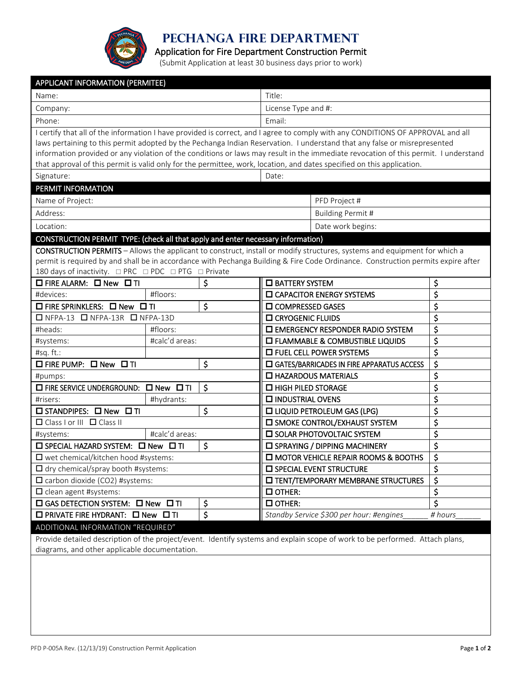

**Pechanga Fire Department**

Application for Fire Department Construction Permit

(Submit Application at least 30 business days prior to work)

| <b>APPLICANT INFORMATION (PERMITEE)</b>                                                                                                                                                                                                                       |                                                             |    |                                                                                                                                 |                                     |         |  |  |
|---------------------------------------------------------------------------------------------------------------------------------------------------------------------------------------------------------------------------------------------------------------|-------------------------------------------------------------|----|---------------------------------------------------------------------------------------------------------------------------------|-------------------------------------|---------|--|--|
| Name:                                                                                                                                                                                                                                                         |                                                             |    | Title:                                                                                                                          |                                     |         |  |  |
| Company:                                                                                                                                                                                                                                                      |                                                             |    | License Type and #:                                                                                                             |                                     |         |  |  |
| Phone:                                                                                                                                                                                                                                                        |                                                             |    | Email:                                                                                                                          |                                     |         |  |  |
|                                                                                                                                                                                                                                                               |                                                             |    | I certify that all of the information I have provided is correct, and I agree to comply with any CONDITIONS OF APPROVAL and all |                                     |         |  |  |
| laws pertaining to this permit adopted by the Pechanga Indian Reservation. I understand that any false or misrepresented                                                                                                                                      |                                                             |    |                                                                                                                                 |                                     |         |  |  |
| information provided or any violation of the conditions or laws may result in the immediate revocation of this permit. I understand<br>that approval of this permit is valid only for the permittee, work, location, and dates specified on this application. |                                                             |    |                                                                                                                                 |                                     |         |  |  |
| Signature:                                                                                                                                                                                                                                                    |                                                             |    | Date:                                                                                                                           |                                     |         |  |  |
| PERMIT INFORMATION                                                                                                                                                                                                                                            |                                                             |    |                                                                                                                                 |                                     |         |  |  |
|                                                                                                                                                                                                                                                               |                                                             |    | PFD Project #                                                                                                                   |                                     |         |  |  |
| Name of Project:                                                                                                                                                                                                                                              |                                                             |    |                                                                                                                                 |                                     |         |  |  |
| Address:                                                                                                                                                                                                                                                      |                                                             |    | Building Permit #                                                                                                               |                                     |         |  |  |
| Date work begins:<br>Location:                                                                                                                                                                                                                                |                                                             |    |                                                                                                                                 |                                     |         |  |  |
| CONSTRUCTION PERMIT TYPE: (check all that apply and enter necessary information)                                                                                                                                                                              |                                                             |    |                                                                                                                                 |                                     |         |  |  |
| <b>CONSTRUCTION PERMITS</b> - Allows the applicant to construct, install or modify structures, systems and equipment for which a                                                                                                                              |                                                             |    |                                                                                                                                 |                                     |         |  |  |
| permit is required by and shall be in accordance with Pechanga Building & Fire Code Ordinance. Construction permits expire after                                                                                                                              |                                                             |    |                                                                                                                                 |                                     |         |  |  |
| □ FIRE ALARM: □ New □ TI                                                                                                                                                                                                                                      |                                                             | \$ | □ BATTERY SYSTEM                                                                                                                |                                     | \$      |  |  |
| #devices:                                                                                                                                                                                                                                                     | #floors:                                                    |    |                                                                                                                                 | <b>IN CAPACITOR ENERGY SYSTEMS</b>  | \$      |  |  |
| □ FIRE SPRINKLERS: □ New □ TI                                                                                                                                                                                                                                 |                                                             | \$ | <b>O COMPRESSED GASES</b>                                                                                                       |                                     | \$      |  |  |
| □ NFPA-13 □ NFPA-13R □ NFPA-13D                                                                                                                                                                                                                               |                                                             |    | <b>IN CRYOGENIC FLUIDS</b>                                                                                                      |                                     | \$      |  |  |
| #heads:                                                                                                                                                                                                                                                       | #floors:                                                    |    | <b>IN EMERGENCY RESPONDER RADIO SYSTEM</b>                                                                                      |                                     | \$      |  |  |
| #systems:                                                                                                                                                                                                                                                     | #calc'd areas:                                              |    | <b>O FLAMMABLE &amp; COMBUSTIBLE LIQUIDS</b>                                                                                    |                                     | \$      |  |  |
| #sq. ft.:                                                                                                                                                                                                                                                     |                                                             |    |                                                                                                                                 | $\Box$ FUEL CELL POWER SYSTEMS      | \$      |  |  |
| $\square$ FIRE PUMP: $\square$ New $\square$ TI                                                                                                                                                                                                               |                                                             | \$ | <b>ID GATES/BARRICADES IN FIRE APPARATUS ACCESS</b>                                                                             |                                     | \$      |  |  |
| #pumps:                                                                                                                                                                                                                                                       |                                                             |    | <b>LI HAZARDOUS MATERIALS</b>                                                                                                   |                                     | \$      |  |  |
|                                                                                                                                                                                                                                                               | \$<br>$\Box$ FIRE SERVICE UNDERGROUND: $\Box$ New $\Box$ TI |    | \$<br>$\Box$ HIGH PILED STORAGE                                                                                                 |                                     |         |  |  |
| #risers:                                                                                                                                                                                                                                                      | #hydrants:                                                  |    | \$<br><b>INDUSTRIAL OVENS</b>                                                                                                   |                                     |         |  |  |
| \$<br>□ STANDPIPES: □ New □ TI                                                                                                                                                                                                                                |                                                             |    | \$<br><b>LIQUID PETROLEUM GAS (LPG)</b>                                                                                         |                                     |         |  |  |
| $\Box$ Class I or III $\Box$ Class II                                                                                                                                                                                                                         |                                                             |    | \$<br><b>IN SMOKE CONTROL/EXHAUST SYSTEM</b>                                                                                    |                                     |         |  |  |
| #systems:                                                                                                                                                                                                                                                     | #calc'd areas:                                              |    |                                                                                                                                 | <b>ID SOLAR PHOTOVOLTAIC SYSTEM</b> | \$      |  |  |
| \$<br>□ SPECIAL HAZARD SYSTEM: □ New □ TI                                                                                                                                                                                                                     |                                                             |    | \$<br><b>ID SPRAYING / DIPPING MACHINERY</b>                                                                                    |                                     |         |  |  |
| $\square$ wet chemical/kitchen hood #systems:                                                                                                                                                                                                                 |                                                             |    | \$<br><b>IN MOTOR VEHICLE REPAIR ROOMS &amp; BOOTHS</b>                                                                         |                                     |         |  |  |
| $\Box$ dry chemical/spray booth #systems:                                                                                                                                                                                                                     |                                                             |    | \$<br><b>IN SPECIAL EVENT STRUCTURE</b>                                                                                         |                                     |         |  |  |
| □ carbon dioxide (CO2) #systems:                                                                                                                                                                                                                              |                                                             |    | <b>IN TENT/TEMPORARY MEMBRANE STRUCTURES</b>                                                                                    |                                     | \$      |  |  |
| $\Box$ clean agent #systems:                                                                                                                                                                                                                                  |                                                             |    | $\square$ OTHER:                                                                                                                |                                     | \$      |  |  |
| $\square$ GAS DETECTION SYSTEM: $\square$ New $\square$ TI                                                                                                                                                                                                    |                                                             | \$ | $\Box$ OTHER:                                                                                                                   |                                     | Ś       |  |  |
| $\Box$ PRIVATE FIRE HYDRANT: $\Box$ New $\Box$ TI                                                                                                                                                                                                             |                                                             | \$ | Standby Service \$300 per hour: #engines                                                                                        |                                     | # hours |  |  |
| ADDITIONAL INFORMATION "REQUIRED"                                                                                                                                                                                                                             |                                                             |    |                                                                                                                                 |                                     |         |  |  |

Provide detailed description of the project/event. Identify systems and explain scope of work to be performed. Attach plans, diagrams, and other applicable documentation.